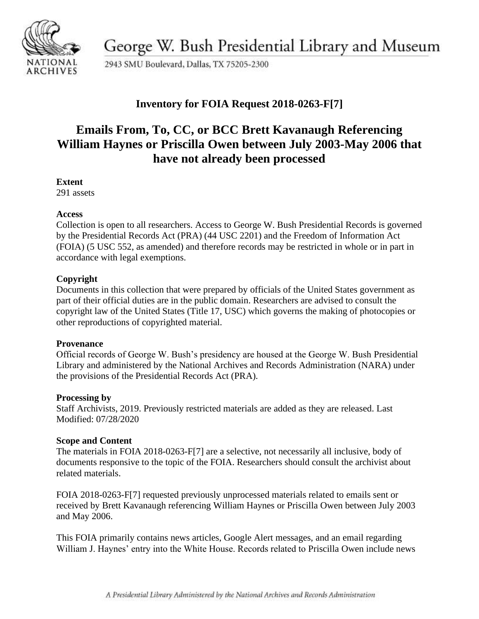

George W. Bush Presidential Library and Museum

2943 SMU Boulevard, Dallas, TX 75205-2300

## **Inventory for FOIA Request 2018-0263-F[7]**

# **Emails From, To, CC, or BCC Brett Kavanaugh Referencing William Haynes or Priscilla Owen between July 2003-May 2006 that have not already been processed**

#### **Extent**

291 assets

#### **Access**

Collection is open to all researchers. Access to George W. Bush Presidential Records is governed by the Presidential Records Act (PRA) (44 USC 2201) and the Freedom of Information Act (FOIA) (5 USC 552, as amended) and therefore records may be restricted in whole or in part in accordance with legal exemptions.

### **Copyright**

Documents in this collection that were prepared by officials of the United States government as part of their official duties are in the public domain. Researchers are advised to consult the copyright law of the United States (Title 17, USC) which governs the making of photocopies or other reproductions of copyrighted material.

#### **Provenance**

Official records of George W. Bush's presidency are housed at the George W. Bush Presidential Library and administered by the National Archives and Records Administration (NARA) under the provisions of the Presidential Records Act (PRA).

#### **Processing by**

Staff Archivists, 2019. Previously restricted materials are added as they are released. Last Modified: 07/28/2020

#### **Scope and Content**

The materials in FOIA 2018-0263-F[7] are a selective, not necessarily all inclusive, body of documents responsive to the topic of the FOIA. Researchers should consult the archivist about related materials.

FOIA 2018-0263-F[7] requested previously unprocessed materials related to emails sent or received by Brett Kavanaugh referencing William Haynes or Priscilla Owen between July 2003 and May 2006.

This FOIA primarily contains news articles, Google Alert messages, and an email regarding William J. Haynes' entry into the White House. Records related to Priscilla Owen include news